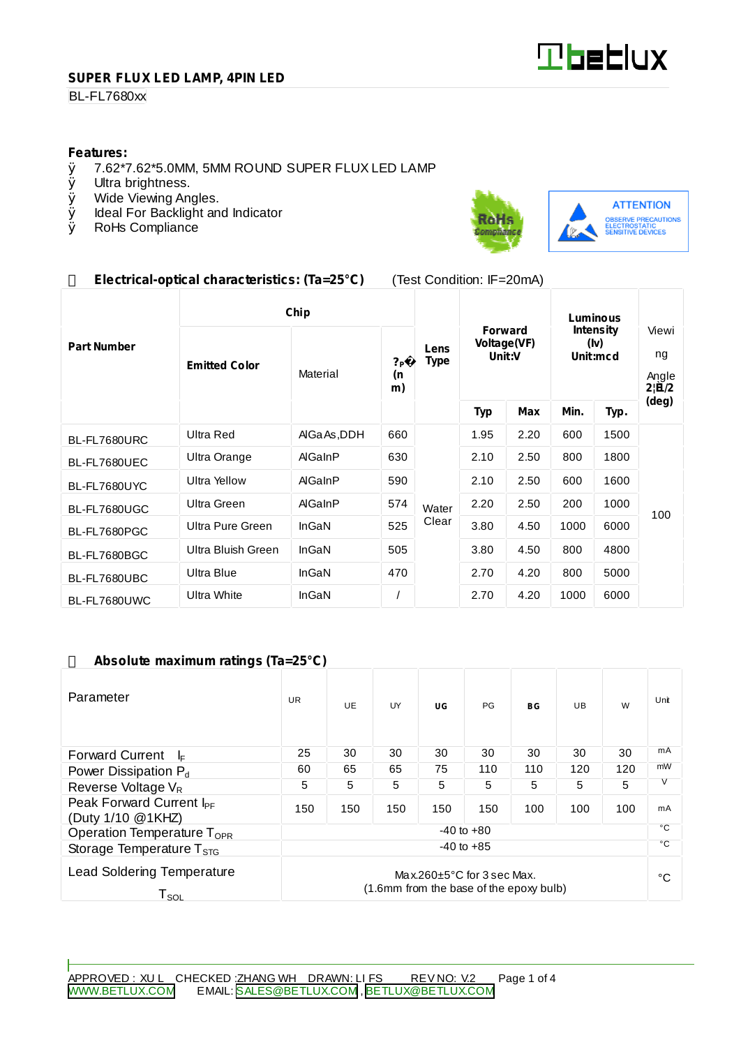

## **SUPER FLUX LED LAMP, 4PIN LED**

## **BL-FL7680xx**

# **Features:**<br>0 7.62\*7

- $\emptyset$  7.62\*7.62\*5.0MM, 5MM ROUND SUPER FLUX LED LAMP  $\emptyset$  Ultra brightness.
- Ø Ultra brightness.<br>Ø Wide Viewing An
- Wide Viewing Angles.
- Ø Ideal For Backlight and Indicator<br>Ø RoHs Compliance
- RoHs Compliance



## **Electrical-optical characteristics: (Ta=25°C)** (Test Condition: IF=20mA)

|                    | Chip                 |             |                            |                     | Luminous                                |      |                                      |      |                                              |
|--------------------|----------------------|-------------|----------------------------|---------------------|-----------------------------------------|------|--------------------------------------|------|----------------------------------------------|
| <b>Part Number</b> | <b>Emitted Color</b> | Material    | ? <sub>P</sub><br>(n<br>m) | Lens<br><b>Type</b> | <b>Forward</b><br>Voltage(VF)<br>Unit:V |      | <b>Intensity</b><br>(Iv)<br>Unit:mcd |      | Viewi<br>ng<br>Angle<br>$2 \widetilde{H}/2 $ |
|                    |                      |             |                            |                     | <b>Typ</b>                              | Max  | Min.                                 | Typ. | (deg)                                        |
| BL-FL7680URC       | <b>Ultra Red</b>     | AlGaAs, DDH | 660                        | Water               | 1.95                                    | 2.20 | 600                                  | 1500 | 100                                          |
| BL-FL7680UEC       | Ultra Orange         | AlGaInP     | 630                        |                     | 2.10                                    | 2.50 | 800                                  | 1800 |                                              |
| BL-FL7680UYC       | <b>Ultra Yellow</b>  | AlGaInP     | 590                        |                     | 2.10                                    | 2.50 | 600                                  | 1600 |                                              |
| BL-FL7680UGC       | Ultra Green          | AlGaInP     | 574                        |                     | 2.20                                    | 2.50 | 200                                  | 1000 |                                              |
| BL-FL7680PGC       | Ultra Pure Green     | InGaN       | 525                        | Clear               | 3.80                                    | 4.50 | 1000                                 | 6000 |                                              |
| BL-FL7680BGC       | Ultra Bluish Green   | InGaN       | 505                        |                     | 3.80                                    | 4.50 | 800                                  | 4800 |                                              |
| BL-FL7680UBC       | Ultra Blue           | InGaN       | 470                        |                     | 2.70                                    | 4.20 | 800                                  | 5000 |                                              |
| BL-FL7680UWC       | Ultra White          | InGaN       |                            |                     | 2.70                                    | 4.20 | 1000                                 | 6000 |                                              |

#### **Absolute maximum ratings (Ta=25°C)**

| Parameter                                                                                                                               | <b>UR</b> | UE. | UY  | UG  | <b>PG</b> | BG           | UB. | W   | Unit |
|-----------------------------------------------------------------------------------------------------------------------------------------|-----------|-----|-----|-----|-----------|--------------|-----|-----|------|
| <b>Forward Current</b><br>I⊧                                                                                                            | 25        | 30  | 30  | 30  | 30        | 30           | 30  | 30  | mA   |
| Power Dissipation P <sub>d</sub>                                                                                                        | 60        | 65  | 65  | 75  | 110       | 110          | 120 | 120 | mW   |
| Reverse Voltage $V_R$                                                                                                                   | 5         | 5   | 5   | 5   | 5         | 5            | 5   | 5   | V    |
| Peak Forward Current I <sub>PF</sub><br>(Duty 1/10 @1KHZ)                                                                               | 150       | 150 | 150 | 150 | 150       | 100          | 100 | 100 | mA   |
| $-40$ to $+80$<br>Operation Temperature T <sub>OPR</sub>                                                                                |           |     |     | °C  |           |              |     |     |      |
| $-40$ to $+85$<br>Storage Temperature $T_{\rm src}$                                                                                     |           |     |     |     |           | $^{\circ}$ C |     |     |      |
| <b>Lead Soldering Temperature</b><br>Max.260 $\pm$ 5°C for 3 sec Max.<br>(1.6mm from the base of the epoxy bulb)<br>${\sf T}_{\sf SOL}$ |           |     |     |     |           |              | °C  |     |      |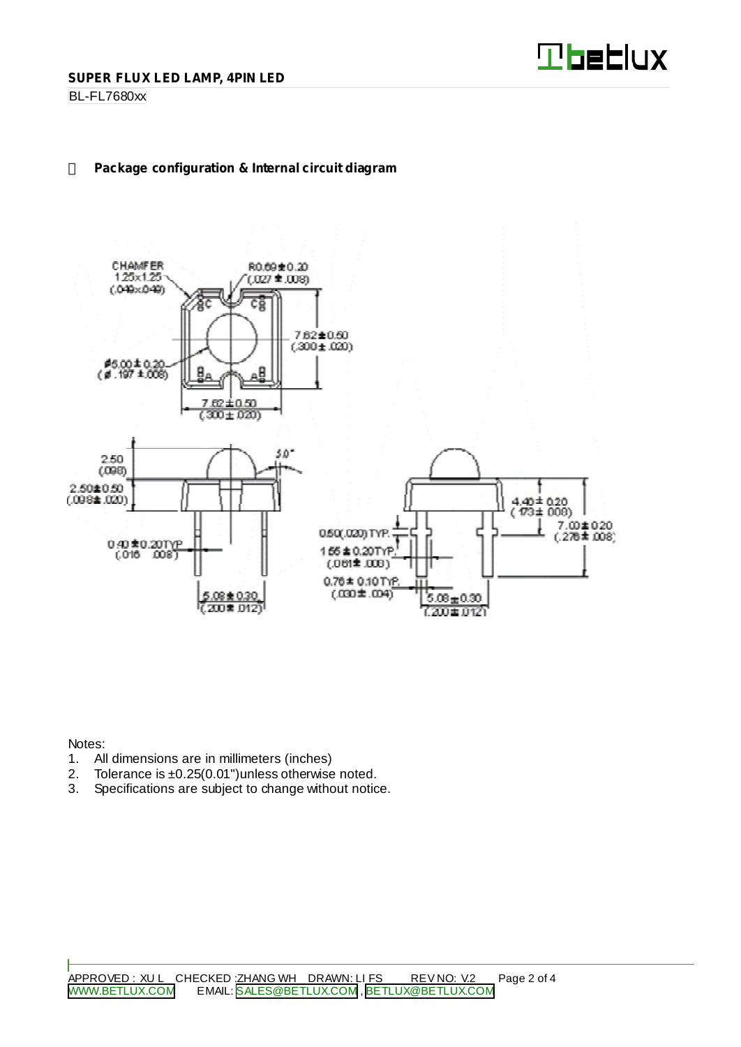

#### BL-FL7680xx

## **Package configuration & Internal circuit diagram**



Notes:

- 1. All dimensions are in millimeters (inches)<br>2. Tolerance is  $\pm 0.25(0.01)$  unless otherwise
- 2. Tolerance is  $\pm 0.25(0.01")$  unless otherwise noted.<br>3. Specifications are subject to change without notic
- Specifications are subject to change without notice.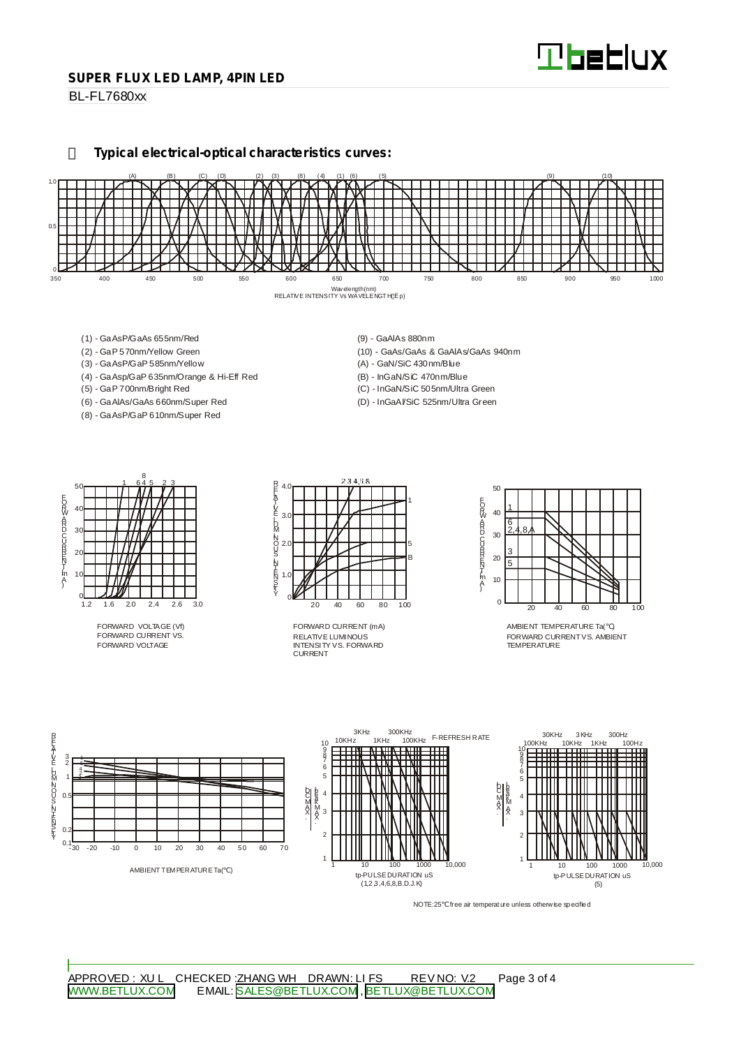#### **SUPER FLUX LED LAMP, 4PIN LED**

BL-FL7680xx

**Typical electrical-optical characteristics curves:**



- (1) GaAsP/GaAs 655nm/Red
- (2) GaP 570nm/Yellow Green
- (3) GaAsP/GaP 585nm/Yellow
- (4) GaAsp/GaP 635nm/Orange & Hi-Eff Red
- (5) GaP 700nm/Bright Red
- (6) GaAlAs/GaAs 660nm/Super Red (8) - GaAsP/GaP 610nm/Super Red
- (9) GaAlAs 880nm
- (10) GaAs/GaAs & GaAlAs/GaAs 940nm
- (A) GaN/SiC 430nm/Blue
- (B) InGaN/SiC 470nm/Blue
- (C) InGaN/SiC 505nm/Ultra Green (D) - InGaAl/SiC 525nm/Ultra Green

50 40 30  $\mathcal{D}$ 10  $rac{0}{1.2}$ 1.2 1.6 2.0 2.4 2.6 3.0 1 645 23 8 EORWARD CURRINT [mA]

FORWARD VOLTAGE (Vf) FORWARD CURRENT VS. FORWARD VOLTAGE



RELATIVE LUMINOUS INTENSITY VS. FORWARD CURRENT FORWARD CURRENT (mA)



AMBIENT TEMPERATURE Ta( ) FORWARD CURRENTVS. AMBIENT TEMPERATURE



NOTE:25 free air temperature unless otherwise specified